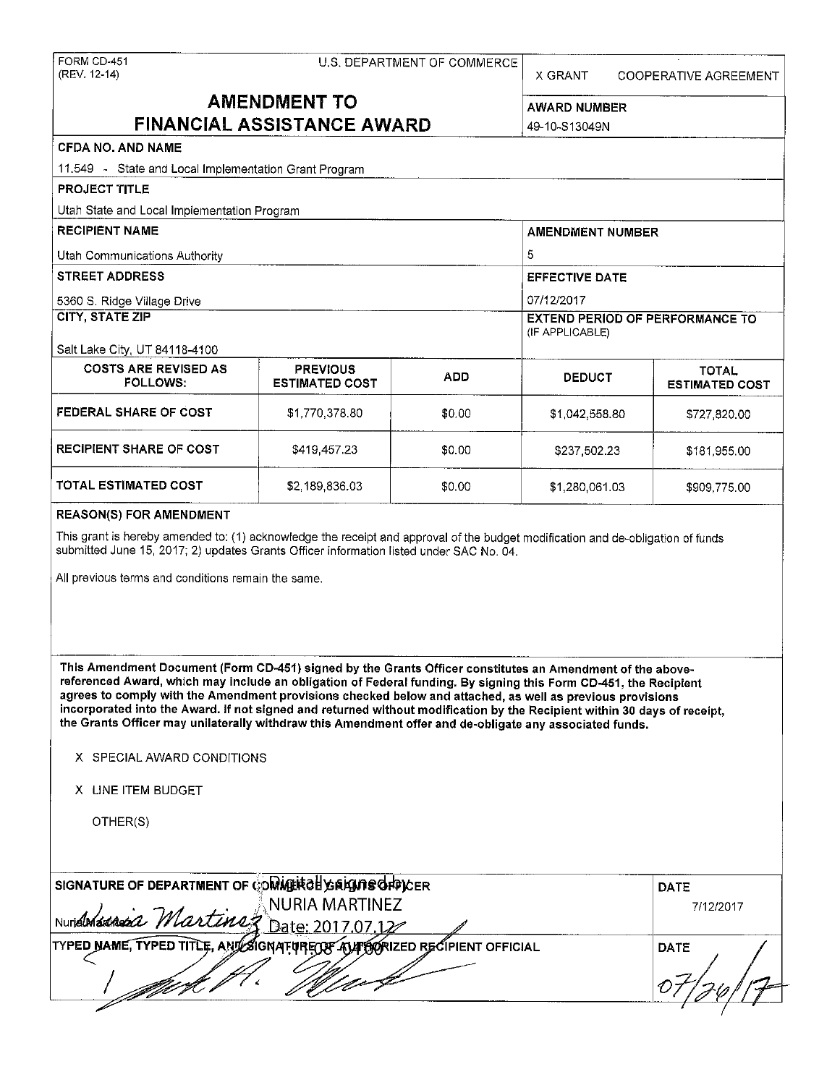| FORM CD-451<br>(REV. 12-14) |                        |               |
|-----------------------------|------------------------|---------------|
|                             |                        | <b>AMENDM</b> |
|                             | <b>FINANCIAL ASSIS</b> |               |
| <b>CFDA NO. AND NAME</b>    |                        |               |

U.S. DEPARTMENT OF COMMERCE

X GRANT COOPERATIVE AGREEMENT

**ENT TO** AWARD NUMBER **TANCE AWARD 49-10-S13049N** 

11.549 - State and Local Implementation Grant Program **PROJECT TITLE**  Utah State and Local Implementation Program **RECIPIENT NAME** AMENDMENT NUMBER **AMENDMENT NUMBER** Utah Communications Authority **5 STREET ADDRESS** EFFECTIVE DATE 5360 S. Ridge Village Drive 07/12/2017 **CITY, STATE ZIP** EXTEND PERIOD OF PERFORMANCE TO (IF APPLICABLE) Salt Lake City, UT 84118-4100 COSTS ARE REVISED AS PREVIOUS **ADD** DEDUCT **ESTIMATED**<br>FOLLOWS: ESTIMATED COST ADD DEDUCT ESTIMATED **ESTIMATED COST FEDERAL SHARE OF COST**  $$1,770,378.80$  $$0.00$  $$1,042,558.80$  $$727,820.00$ **RECIPIENT SHARE OF COST** \$419,457.23 \$0.00 \$237,502.23 \$181,955.00 **TOTAL ESTIMATED COST** \$2,189,836.03 \$0.00 \$1,280,061.03 \$909,775.00

#### **REASON(S) FOR AMENDMENT**

This grant is hereby amended to: (1) acknowledge the receipt and approval of the budget modification and de-obligation of funds submitted June 15, 2017; 2) updates Grants Officer information listed under SAC No. 04.

All previous terms and conditions remain the same.

**This Amendment Document (Form CD-451) signed by the Grants Officer constitutes an Amendment of the abovereferenced Award, which may include an obligation of Federal funding. By signing this Form CD-451, the Recipient agrees to comply with the Amendment provisions checked below and attached, as well as previous provisions incorporated into the Award. If not signed and returned without modification by the Recipient within 30 days of receipt, the Grants Officer may unilaterally withdraw this Amendment offer and de-obligate any associated funds.** 

#### X SPECIAL AWARD CONDITIONS

**X** LINE ITEM BUDGET

OTHER(S)

| SIGNATURE OF DEPARTMENT OF COMMERTS EXPLORES                           | <b>DATE</b> |
|------------------------------------------------------------------------|-------------|
| <b>NURIA MARTINEZ</b>                                                  | 7/12/2017   |
| Nuridinandia Martinez Date: 2017.07.12                                 |             |
| TYPED NAME, TYPED TITLE, AND SIGNATURE OF AVIORALED RECIPIENT OFFICIAL | DATE        |
|                                                                        |             |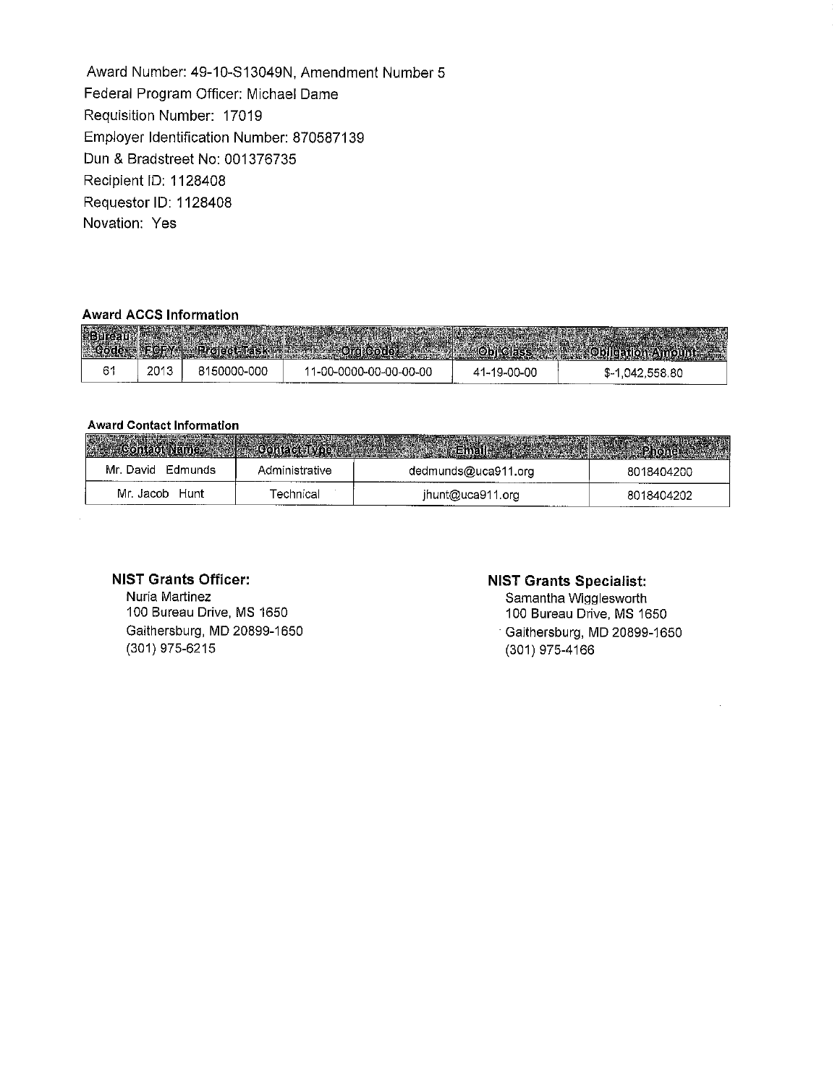Award Number: 49-10-S13049N, Amendment Number 5 Federal Program Officer: Michael Dame Requisition Number: 17019 Employer Identification Number: 870587139 Dun & Bradstreet No: 001376735 Recipient ID: 1128408 Requester ID: 1128408 **Novation: Yes** 

#### **Award ACCS Information**

| 樂國 |      |             |                        |             | <u>Joisse Server of Bullion William States</u> |
|----|------|-------------|------------------------|-------------|------------------------------------------------|
|    | 2013 | 8150000-000 | 11-00-0000-00-00-00-00 | 41-19-00-00 | \$-1,042,558.80                                |

### **Award Contact Information**

 $\mathcal{L}^{\pm}$ 

| Mr. David Edmunds | Administrative | dedmunds@uca911.org | 8018404200 |
|-------------------|----------------|---------------------|------------|
| Mr. Jacob Hunt    | Γechnical      | jhunt@uca911.org    | 8018404202 |

## **NIST Grants Officer:**

Nuria Martinez 100 Bureau Drive, MS 1650 Gaithersburg, MD 20899-1650 (301) 975-6215

#### **NIST Grants Specialist:**

Samantha Wigglesworth 100 Bureau Drive, MS 1650 Gaithersburg, MD 20899-1650 (301) 975-4166